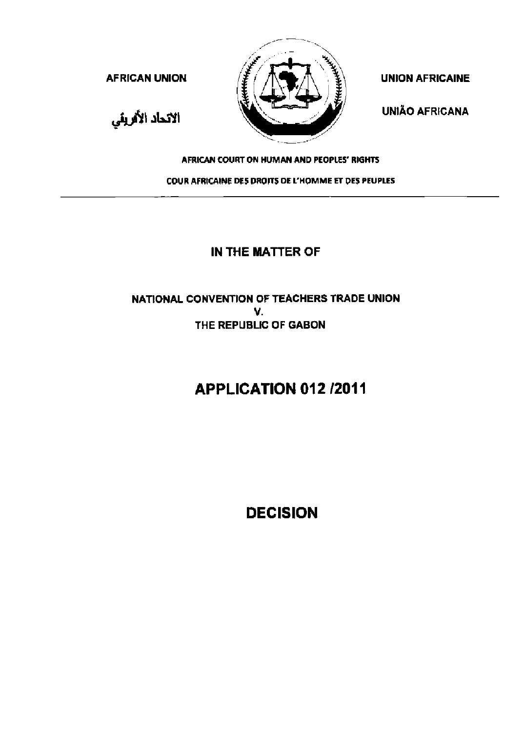

UNIAO AFRICANA

الاتحاد الأقربقي

#### AFRICAN COURT ON HUMAN AND PEOPLES' RIGHTS

COUR AFRICAINE DES DROITS DE L' HOMME ET DES PEUPLES

## **IN THE MATTER OF**

## NATIONAL CONVENTION OF TEACHERS TRADE UNION v. THE REPUBLIC OF GABON

# **APPLICATION 012/2011**

**DECISION**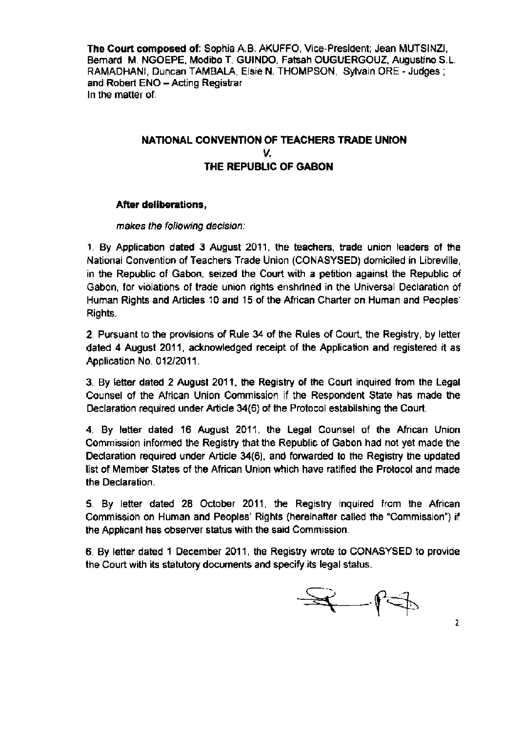**The Court composed of'** Sophia A.B. AKUFFO, Vice-President; Jean MUTSINZI, Bernard M. NGOEPE, Modibo T. GUINDO, Fatsah OUGUERGOUZ, Augustino S.L. RAMADHANI, Duncan TAMBALA, Elsie N. THOMPSON, Sylvain ORE - Judges ; and Robert ENO - Acting Registrar In the matter of:

## **NATIONAL CONVENTION OF TEACHERS TRADE UNION**  *v.*  **THE REPUBLIC OF GABON**

#### **After deliberations,**

#### makes the following decision:

1 By Application dated 3 August 2011 , the teachers, trade union leaders of the National Convention of Teachers Trade Union (CONASYSED) domiciled in Libreville, in the Republic of Gabon, seized the Court with a petition against the Republic of Gabon, for violations of trade umon rights enshrined in the Universal Declaration of Human Rights and Articles 10 and 15 of the African Charter on Human and Peoples' Rights.

2 Pursuant to the provisions of Rule 34 of the Rules of Court, the Registry, by letter dated 4 August 2011 , acknowledged receipt of the Application and registered it as Application No. 012/2011.

3. By letter dated 2 August 2011 . the Reg1stry of the Court inquired from the Legal Counsel of the African Union Commission if the Respondent State has made the Declaration required under Article 34(6) of the Protocol establishing the Court.

4. By letter dated 16 August 2011 , the Legal Counsel of the African Union Commission tnformed the Registry that the Republic of Gabon had not yet made the Declaration required under Article 34(6), and forwarded to the Registry the updated list of Member States of the African Union which have ratified the Protocol and made the Declaration

5 By letter dated 28 October 2011 , the Registry inquired from the African Commission on Human and Peoples' Rights (hereinafter called the "Commission") if the Applicant has observer status with the said Commission.

6. By letter dated 1 December 2011 , the Registry wrote to CONASYSED to provide the Court with its statutory documents and specify its legal status.

 $\begin{array}{cc} \mathcal{A} & \mathcal{A} \end{array}$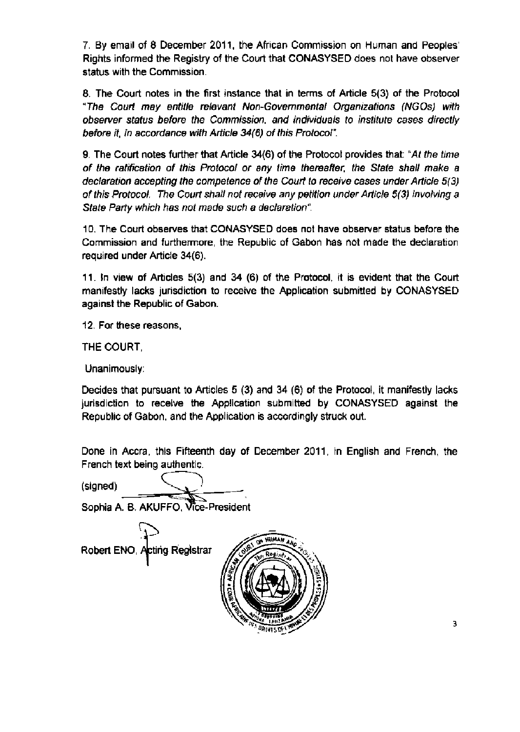7. By email of 8 December 2011 . the African Commission on Human and Peoples' Rights Informed the Registry of the Court that CONASYSED does not have observer status with the Commission.

8. The Court notes in the first instance that 1n terms of Article 5(3) of the Protocol "The Court may entitle relevant Non-Governmental Organizations (NGOs) with observer status before the Commisston, and individuals to mstitute cases directly before it, in accordance with Article 34(6) of this Protocol".

9. The Court notes further that Article 34(6) of the Protocol provides that: "At the time of the ratification of this Protocol or any time thereafter, the State shall make a declaration accepting the competence of the Court to receive cases under Article 5(3) of this Protocol. The Court shall not receive any petition under Article 5(3) involving a State Party which has not made such a declaration".

1 0 The Court observes that CONASYSED does not have observer status before the Commission and furthermore, the Republic of Gabon has not made the declaration required under Article 34(6).

11. In view of Articles  $5(3)$  and  $34$  (6) of the Protocol, it is evident that the Court manifestly lacks junsdiction to receive the Application submitted by CONASYSED against the Republic of Gabon.

12 For these reasons,

THE COURT,

Unanimously·

Decides that pursuant to Articles 5 (3) and 34 (6) of the Protocol, it manifestly lacks jurisdiction to receive the Application submitted by CONASYSED against the Republic of Gabon, and the Application is accordingly struck out

Done in Accra, this Fifteenth day of December 2011, in English and French, the French text being authentic.<br>
(signed)

Sophia A. B. AKUFFO, Vice-President

 $\mathcal{L}$ Robert ENO. Acting Registrar



3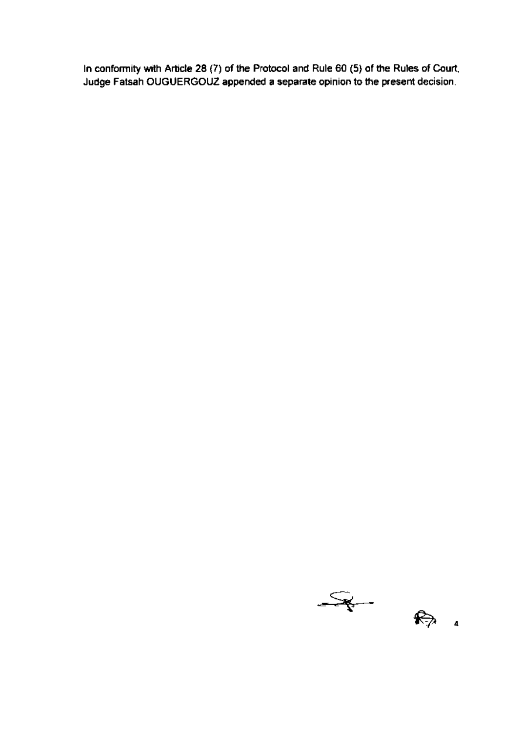In conformity with Article 28 (7) of the Protocol and Rule 60 (5) of the Rules of Court, Judge Fatsah OUGUERGOUZ appended a separate opmion to the present decision.

 $\frac{1}{\sqrt{2}}$  $R_{\geq 4}$